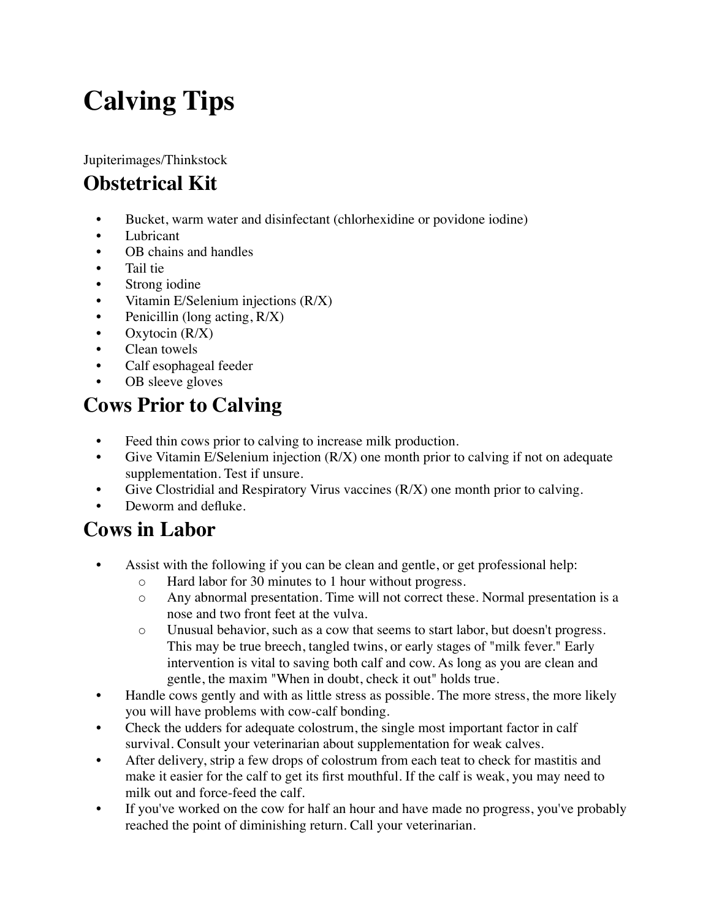# **Calving Tips**

Jupiterimages/Thinkstock

## **Obstetrical Kit**

- Bucket, warm water and disinfectant (chlorhexidine or povidone iodine)
- Lubricant
- OB chains and handles
- Tail tie
- Strong iodine
- Vitamin E/Selenium injections (R/X)
- Penicillin (long acting,  $R/X$ )
- Oxytocin  $(R/X)$
- Clean towels
- Calf esophageal feeder
- OB sleeve gloves

### **Cows Prior to Calving**

- Feed thin cows prior to calving to increase milk production.
- Give Vitamin E/Selenium injection (R/X) one month prior to calving if not on adequate supplementation. Test if unsure.
- Give Clostridial and Respiratory Virus vaccines  $(R/X)$  one month prior to calving.
- Deworm and defluke.

#### **Cows in Labor**

- Assist with the following if you can be clean and gentle, or get professional help:
	- Hard labor for 30 minutes to 1 hour without progress.
	- Any abnormal presentation. Time will not correct these. Normal presentation is a nose and two front feet at the vulva.
	- Unusual behavior, such as a cow that seems to start labor, but doesn't progress. This may be true breech, tangled twins, or early stages of "milk fever." Early intervention is vital to saving both calf and cow. As long as you are clean and gentle, the maxim "When in doubt, check it out" holds true.
- Handle cows gently and with as little stress as possible. The more stress, the more likely you will have problems with cow-calf bonding.
- Check the udders for adequate colostrum, the single most important factor in calf survival. Consult your veterinarian about supplementation for weak calves.
- After delivery, strip a few drops of colostrum from each teat to check for mastitis and make it easier for the calf to get its first mouthful. If the calf is weak, you may need to milk out and force-feed the calf.
- If you've worked on the cow for half an hour and have made no progress, you've probably reached the point of diminishing return. Call your veterinarian.